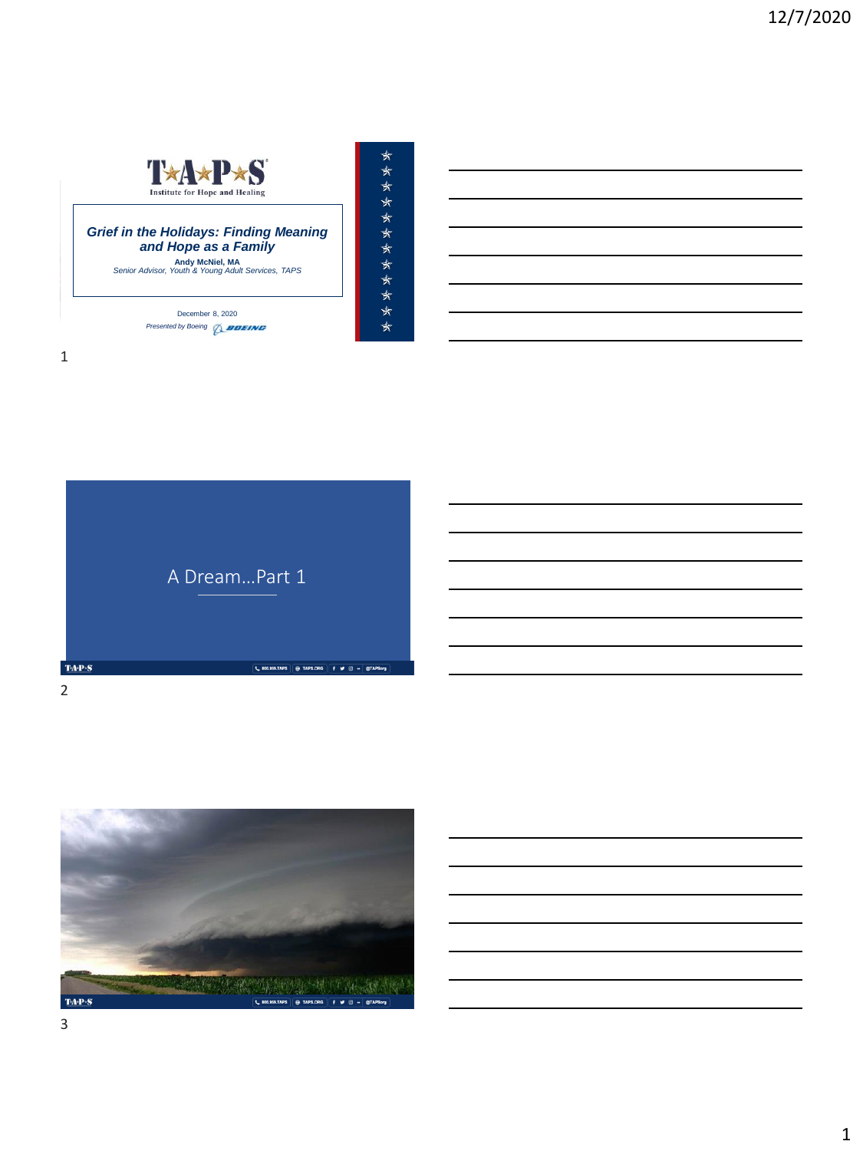

MEMORIAL DAY WEEKEND | MAY 2018

December 8, 2020 **Presented by Boeing** *Q\_BOEING* 

\*\*\*\*\*\*\*\*\*\*\*\*\*

1





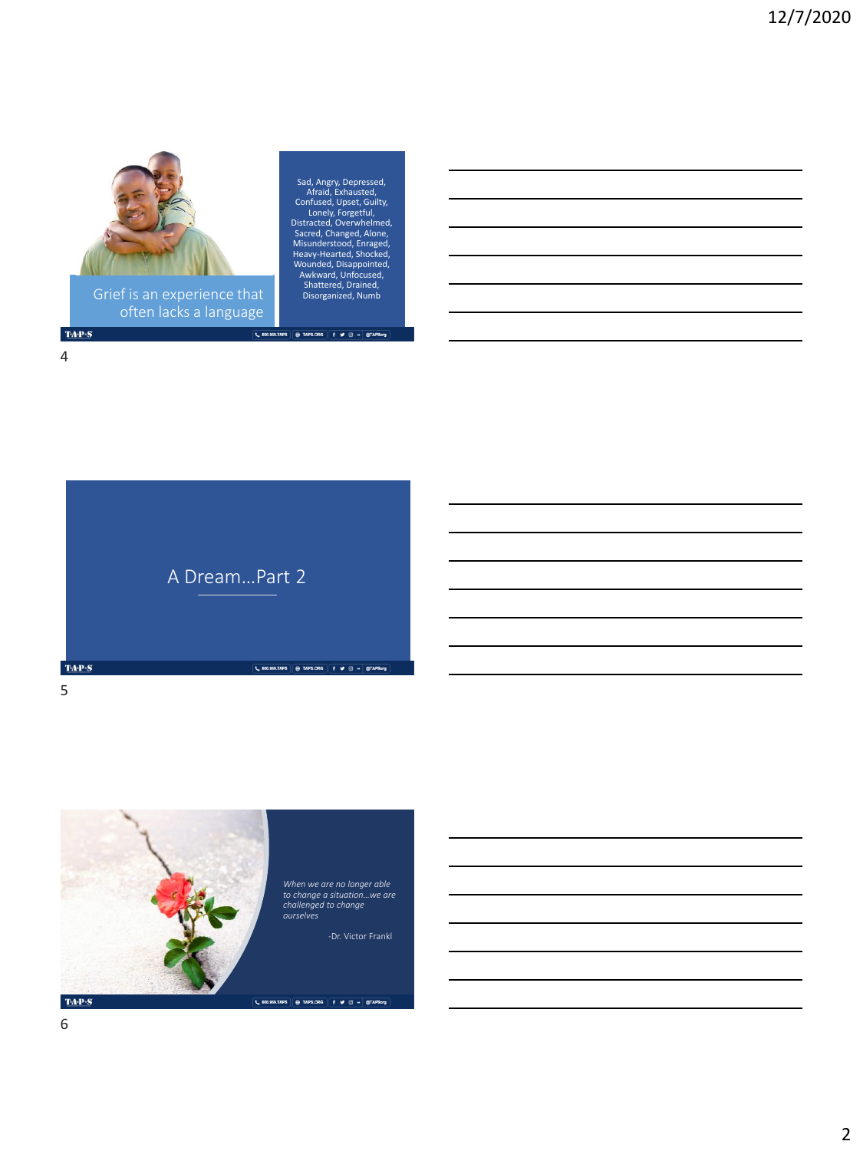

often lacks a language

Sad, Angry, Depressed,<br>Afraid, Exhausted,<br>Confused, Upset, Guilty,<br>Lonely, Forgetful,<br>Distrated, Overwhelmed,<br>Sacred, Chevarbelmed,<br>Heavy-Hearted, Shocked,<br>Wounded, Disappointed,<br>Newward, Unfocused,<br>Shattered, Drained,<br>Dis

 $\boxed{\textbf{C} \text{ 500.558,TAPS}} \oplus \text{TAP5.ORG} \begin{pmatrix} \textbf{f} & \textbf{w} & \textbf{0} \end{pmatrix} = \text{0TAP5org}$ 



 $TA-P-S$ 





6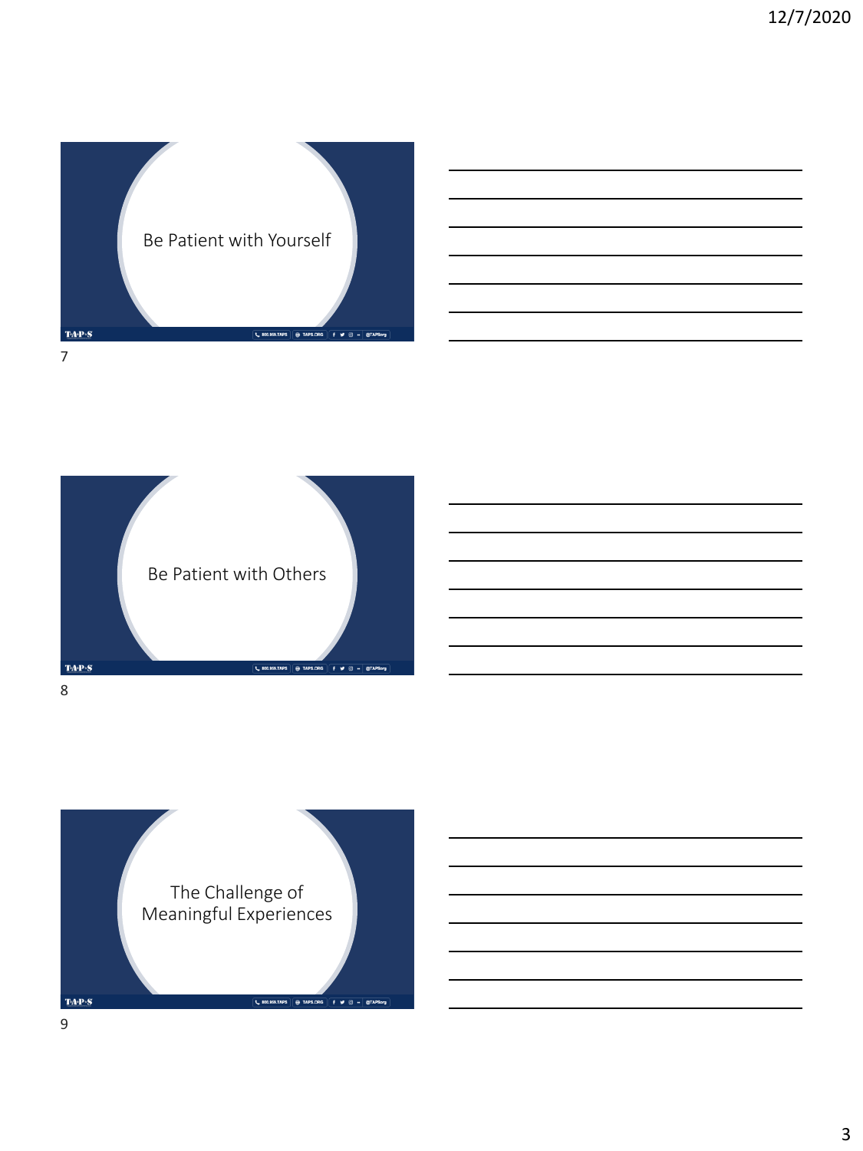

| <u> 1989 - Johann Barn, mars and de Branch Barn, mars and de Branch Barn, mars and de Branch Barn, mars and de Br</u>  |  |  |
|------------------------------------------------------------------------------------------------------------------------|--|--|
| and the control of the control of the control of the control of the control of the control of the control of the       |  |  |
| <u> 1989 - Johann Barn, mars ann an t-Amhain ann an t-Amhain ann an t-Amhain ann an t-Amhain an t-Amhain ann an t-</u> |  |  |
| and the control of the control of the control of the control of the control of the control of the control of th        |  |  |
|                                                                                                                        |  |  |
| <u> 1989 - Andrea Andrew Maria (h. 1989).</u>                                                                          |  |  |
|                                                                                                                        |  |  |



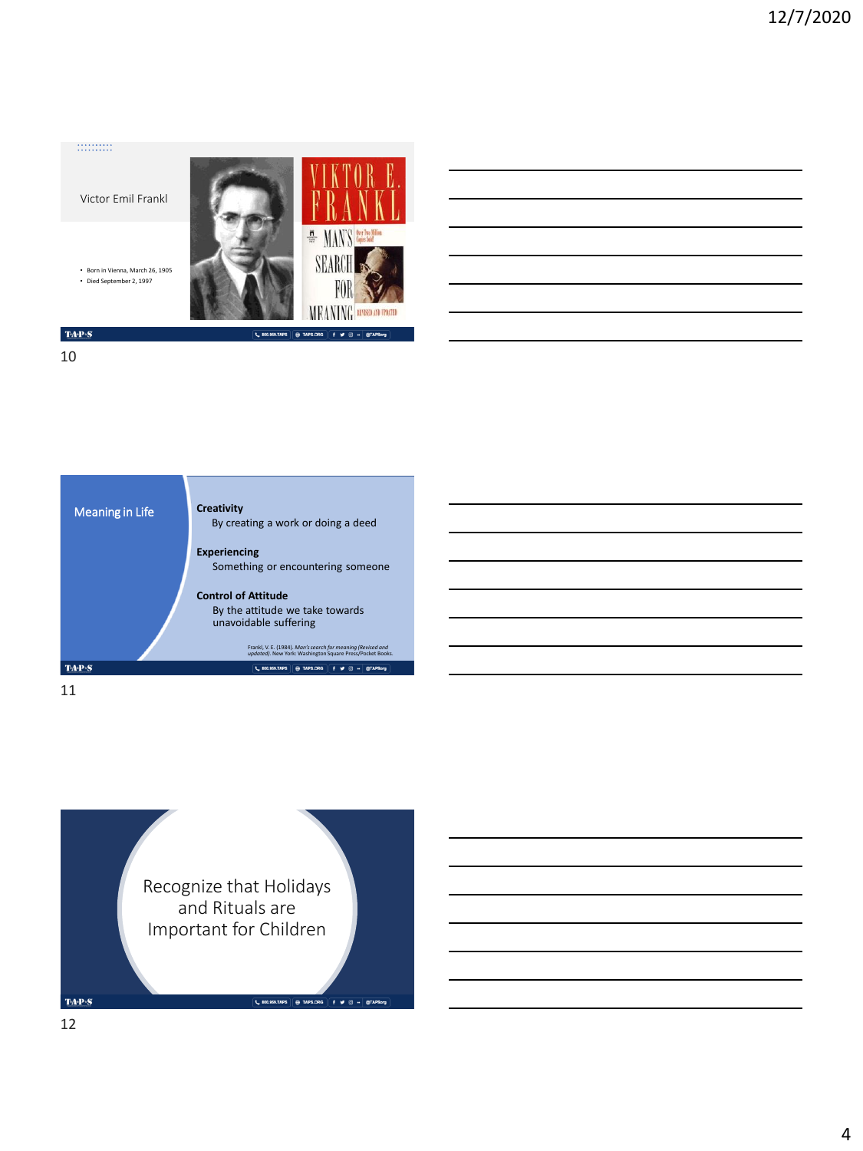## 

Victor Emil Frankl

• Born in Vienna, March 26, 1905 • Died September 2, 1997



| <u> 1989 - Johann Barn, amerikansk politiker (d. 1989)</u>                                                            |  |  |
|-----------------------------------------------------------------------------------------------------------------------|--|--|
|                                                                                                                       |  |  |
|                                                                                                                       |  |  |
| <u> 1989 - Andrea Stadt Britain, amerikansk politik (* 1958)</u>                                                      |  |  |
| <u> 1989 - Johann Stoff, deutscher Stoffen und der Stoffen und der Stoffen und der Stoffen und der Stoffen und de</u> |  |  |
|                                                                                                                       |  |  |

 $\mathbf{TA}\text{-}\mathbf{P}\text{-}\mathbf{S}$ 10



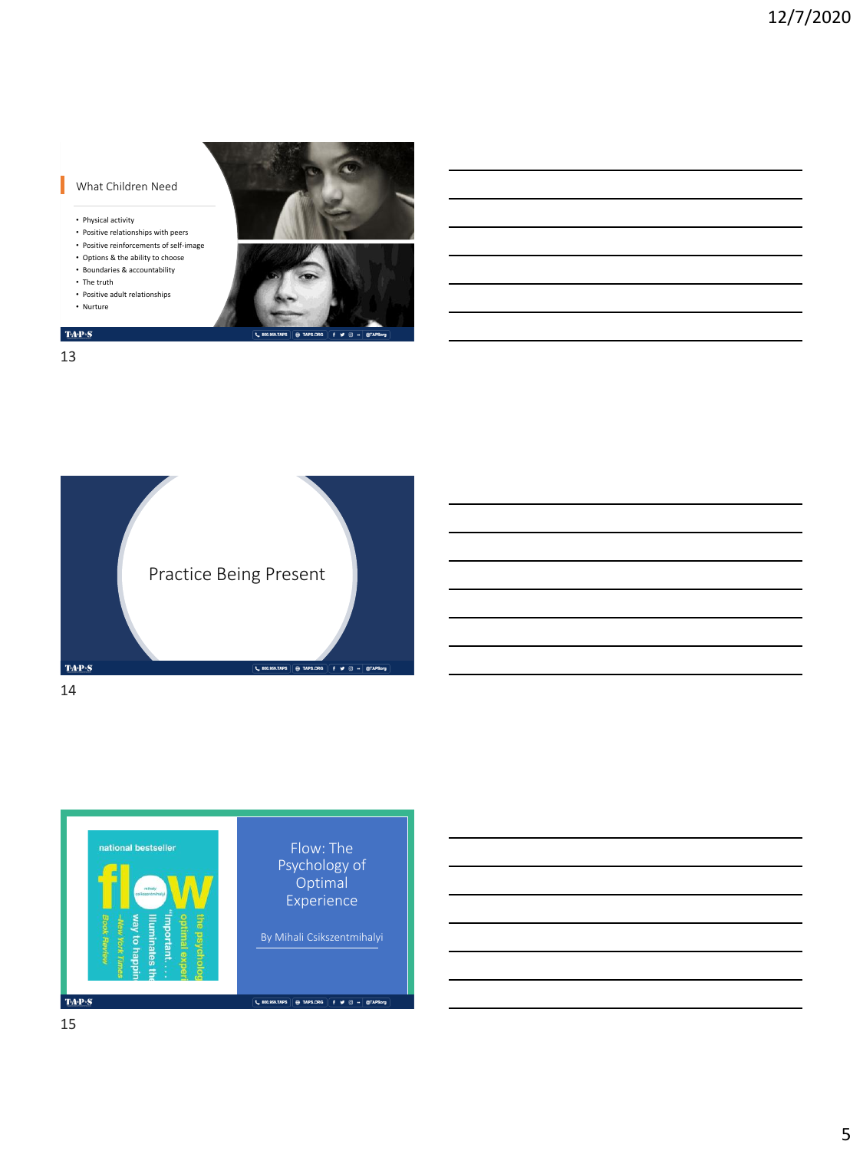## What Children Need

- Physical activity
- Positive relationships with peers
- Positive reinforcements of self-image • Options & the ability to choose
- Boundaries & accountability
- The truth
- Positive adult relationships
- Nurture



 $\mathbf{TA}\cdot\mathbf{P}\cdot\mathbf{S}$ 13



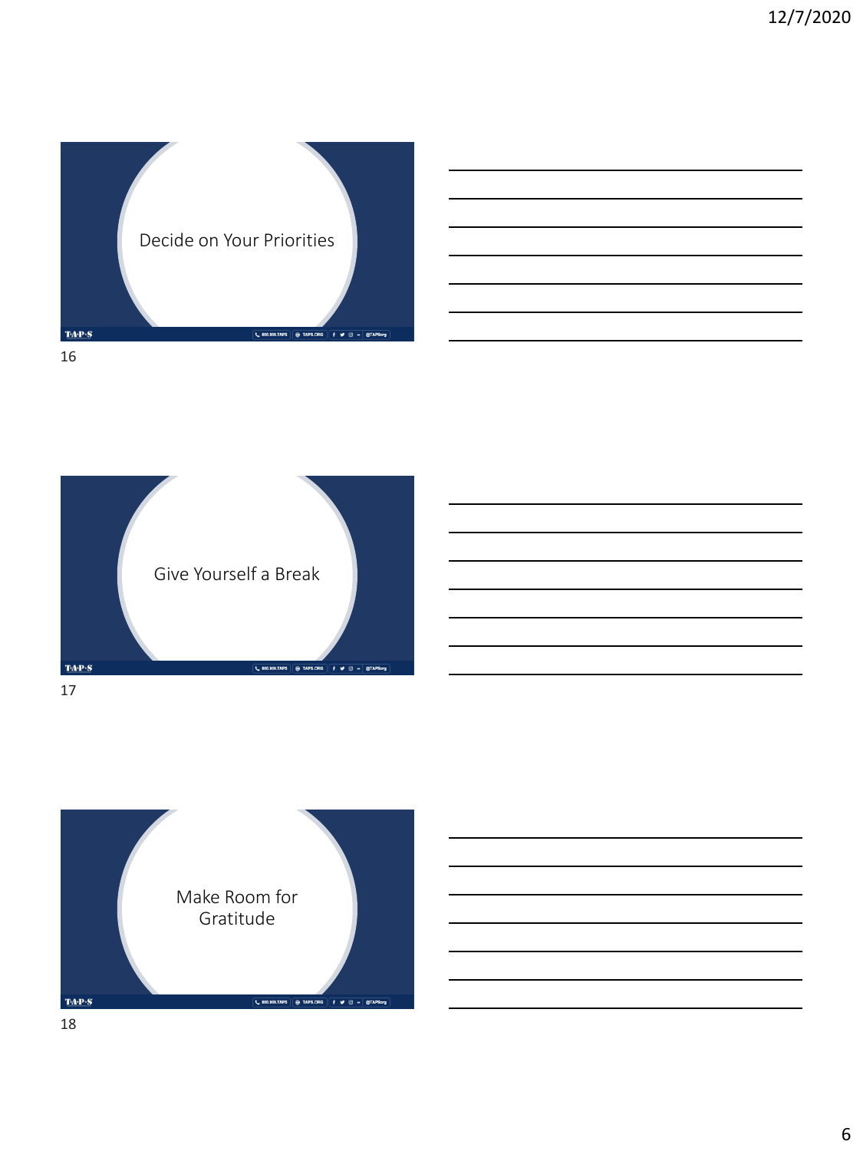

| <u> 1989 - Johann Barnett, fransk politiker (d. 1989)</u>                                                               |  |  |
|-------------------------------------------------------------------------------------------------------------------------|--|--|
| <u> 1980 - Johann Barn, amerikansk politiker (</u>                                                                      |  |  |
| <u> 1989 - Johann Harry Harry Harry Harry Harry Harry Harry Harry Harry Harry Harry Harry Harry Harry Harry Harry H</u> |  |  |
|                                                                                                                         |  |  |
|                                                                                                                         |  |  |
|                                                                                                                         |  |  |



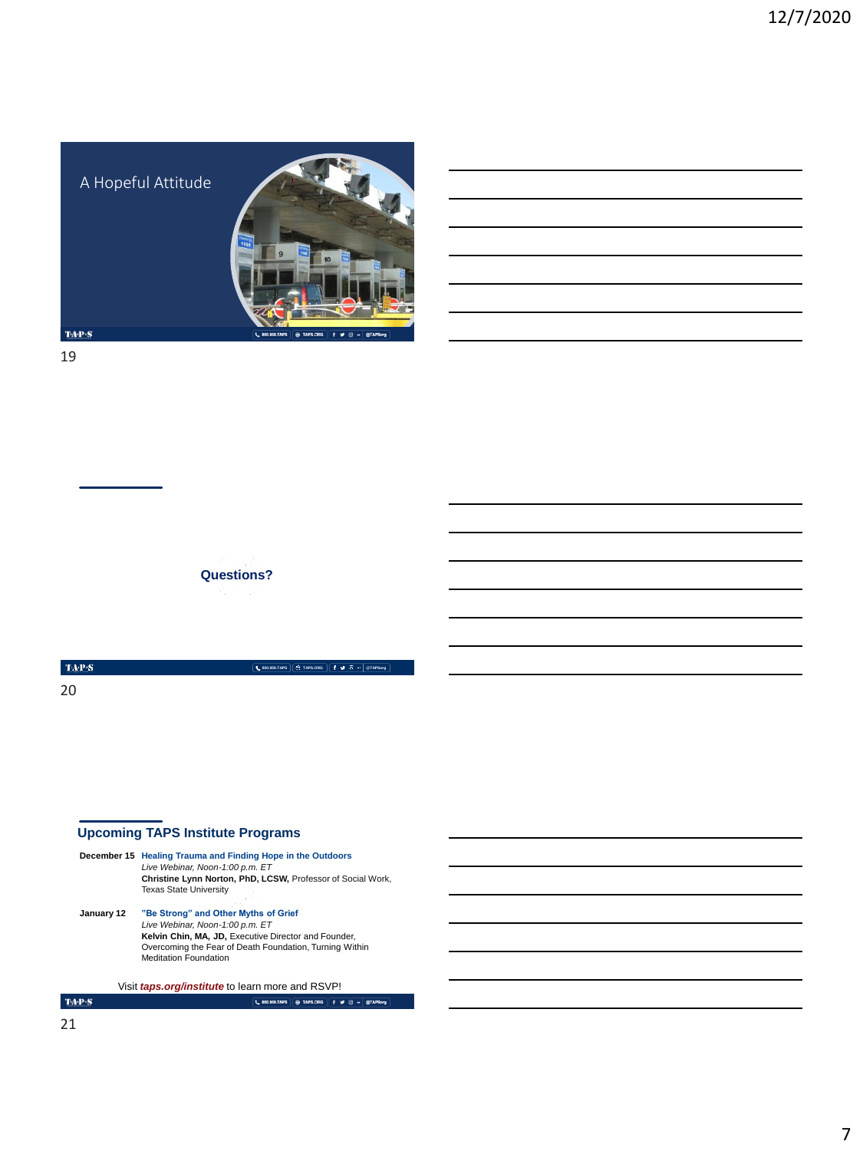A Hopeful Attitude



**800.959.TAPS TAPS.ORG @TAPSorg**

 $TA \cdot P \cdot S$ 

19

**Questions?**

 $\mbox{TaP}{S}$ 

20

## **Upcoming TAPS Institute Programs**

|            | December 15 Healing Trauma and Finding Hope in the Outdoors<br>Live Webinar, Noon-1:00 p.m. ET<br>Christine Lynn Norton, PhD, LCSW, Professor of Social Work,<br><b>Texas State University</b>                             |  |
|------------|----------------------------------------------------------------------------------------------------------------------------------------------------------------------------------------------------------------------------|--|
| January 12 | "Be Strong" and Other Myths of Grief<br>Live Webinar, Noon-1:00 p.m. ET<br>Kelvin Chin, MA, JD, Executive Director and Founder,<br>Overcoming the Fear of Death Foundation, Turning Within<br><b>Meditation Foundation</b> |  |
|            | Visit <i>taps.org/institute</i> to learn more and RSVP!                                                                                                                                                                    |  |
|            | <b>800.959.TAPS</b>                                                                                                                                                                                                        |  |